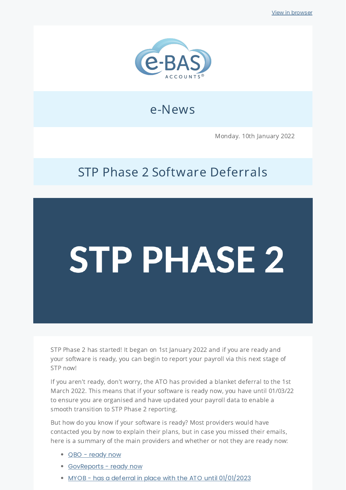

## e-News

Monday. 10th January 2022

## STP Phase 2 Software Deferrals

## **STP PHASE 2**

STP Phase 2 has started! It began on 1st January 2022 and if you are ready and your software is ready, you can begin to report your payroll via this next stage of STP now!

If you aren't ready, don't worry, the ATO has provided a blanket deferral to the 1st March 2022. This means that if your software is ready now, you have until 01/03/22 to ensure you are organised and have updated your payroll data to enable a smooth transition to STP Phase 2 reporting.

But how do you know if your software is ready? Most providers would have contacted you by now to explain their plans, but in case you missed their emails, here is a summary of the main providers and whether or not they are ready now:

- QBO [ready](https://icb.us5.list-manage.com/track/click?u=cb22032389055ff741c2c445e&id=5dd637b982&e=40a9d070a4) now
- [GovReports](https://icb.us5.list-manage.com/track/click?u=cb22032389055ff741c2c445e&id=8f26b473c1&e=40a9d070a4) ready now
- MYOB has a deferral in place with the ATO until [01/01/2023](https://icb.us5.list-manage.com/track/click?u=cb22032389055ff741c2c445e&id=732c971f72&e=40a9d070a4)